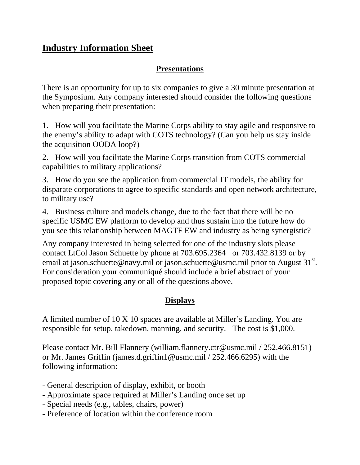## **Industry Information Sheet**

## **Presentations**

There is an opportunity for up to six companies to give a 30 minute presentation at the Symposium. Any company interested should consider the following questions when preparing their presentation:

1. How will you facilitate the Marine Corps ability to stay agile and responsive to the enemy's ability to adapt with COTS technology? (Can you help us stay inside the acquisition OODA loop?)

2. How will you facilitate the Marine Corps transition from COTS commercial capabilities to military applications?

3. How do you see the application from commercial IT models, the ability for disparate corporations to agree to specific standards and open network architecture, to military use?

4. Business culture and models change, due to the fact that there will be no specific USMC EW platform to develop and thus sustain into the future how do you see this relationship between MAGTF EW and industry as being synergistic?

Any company interested in being selected for one of the industry slots please contact LtCol Jason Schuette by phone at 703.695.2364 or 703.432.8139 or by email at jason.schuette@navy.mil or jason.schuette@usmc.mil prior to August  $31^{st}$ . For consideration your communiqué should include a brief abstract of your proposed topic covering any or all of the questions above.

## **Displays**

A limited number of 10 X 10 spaces are available at Miller's Landing. You are responsible for setup, takedown, manning, and security. The cost is \$1,000.

Please contact Mr. Bill Flannery (william.flannery.ctr@usmc.mil / 252.466.8151) or Mr. James Griffin (james.d.griffin1@usmc.mil / 252.466.6295) with the following information:

- General description of display, exhibit, or booth
- Approximate space required at Miller's Landing once set up
- Special needs (e.g., tables, chairs, power)
- Preference of location within the conference room